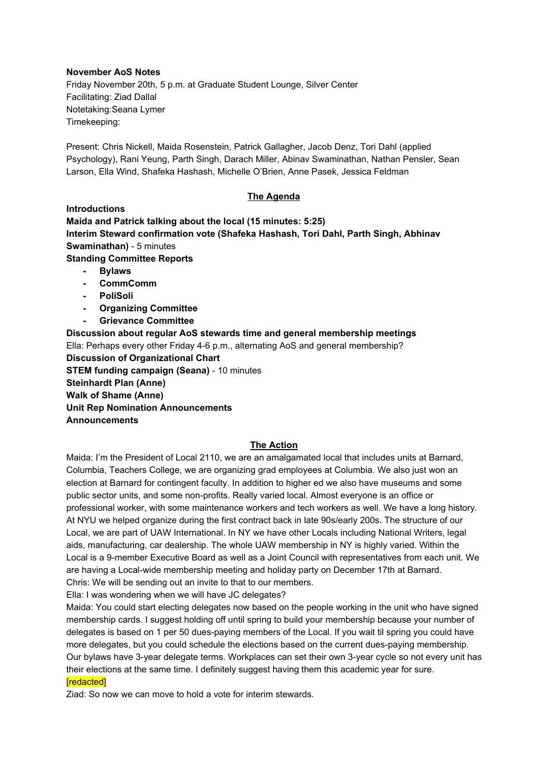### **November AoS Notes**

Friday November 20th, 5 p.m. at Graduate Student Lounge, Silver Center Facilitating: Ziad Dallal Notetaking:Seana Lymer Timekeeping:

Present: Chris Nickell, Maida Rosenstein, Patrick Gallagher, Jacob Denz, Tori Dahl (applied Psychology), Rani Yeung, Parth Singh, Darach Miller, Abinav Swaminathan, Nathan Pensler, Sean Larson, Ella Wind, Shafeka Hashash, Michelle O'Brien, Anne Pasek, Jessica Feldman

#### **The Agenda**

**Introductions**

**Maida and Patrick talking about the local (15 minutes: 5:25) Interim Steward confirmation vote(Shafeka Hashash, Tori Dahl, Parth Singh, Abhinav Swaminathan)** - 5 minutes

## **Standing Committee Reports**

- **Bylaws**
- **CommComm**
- **PoliSoli**
- **Organizing Committee**
- **Grievance Committee**

**Discussion about regular AoS stewards time and general membership meetings** Ella: Perhaps every other Friday 4-6 p.m., alternating AoS and general membership? **Discussion of Organizational Chart STEM funding campaign (Seana)** 10 minutes **Steinhardt Plan (Anne) Walk of Shame (Anne) Unit Rep Nomination Announcements Announcements**

#### **The Action**

Maida: I'm the President of Local 2110, we are an amalgamated local that includes units at Barnard, Columbia, Teachers College, we are organizing grad employees at Columbia. We also just won an election at Barnard for contingent faculty. In addition to higher ed we also have museums and some public sector units, and some non-profits. Really varied local. Almost everyone is an office or professional worker, with some maintenance workers and tech workers as well. We have a long history. At NYU we helped organize during the first contract back in late 90s/early 200s. The structure of our Local, we are part of UAW International. In NY we have other Locals including National Writers, legal aids, manufacturing, car dealership. The whole UAW membership in NY is highly varied. Within the Local is a 9-member Executive Board as well as a Joint Council with representatives from each unit. We are having a Local-wide membership meeting and holiday party on December 17th at Barnard. Chris: We will be sending out an invite to that to our members.

Ella: I was wondering when we will have JC delegates?

Maida: You could start electing delegates now based on the people working in the unit who have signed membership cards. I suggest holding off until spring to build your membership because your number of delegates is based on 1 per 50 dues-paying members of the Local. If you wait til spring you could have more delegates, but you could schedule the elections based on the current dues-paying membership. Our bylaws have 3year delegate terms. Workplaces can set their own 3year cycle so not every unit has their elections at the same time. I definitely suggest having them this academic year for sure. [redacted]

Ziad: So now we can move to hold a vote for interim stewards.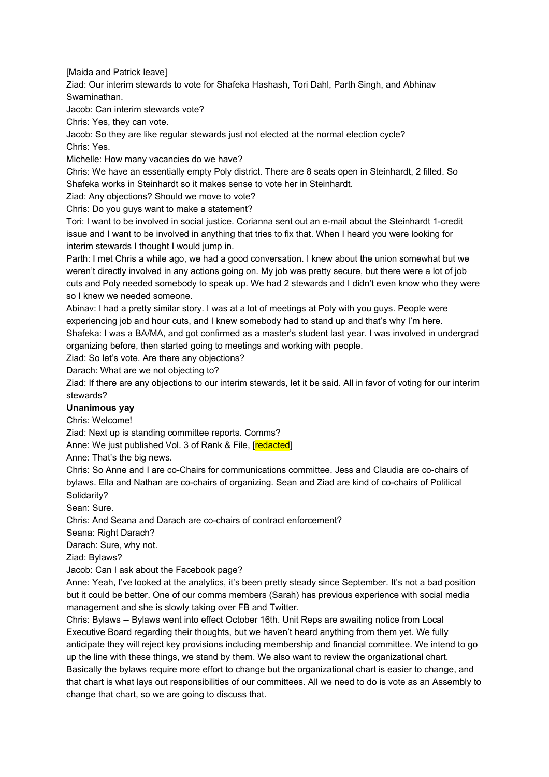[Maida and Patrick leave]

Ziad: Our interim stewards to vote for Shafeka Hashash, Tori Dahl, Parth Singh, and Abhinav Swaminathan.

Jacob: Can interim stewards vote?

Chris: Yes, they can vote.

Jacob: So they are like regular stewards just not elected at the normal election cycle? Chris: Yes.

Michelle: How many vacancies do we have?

Chris: We have an essentially empty Poly district. There are 8 seats open in Steinhardt, 2 filled. So Shafeka works in Steinhardt so it makes sense to vote her in Steinhardt.

Ziad: Any objections? Should we move to vote?

Chris: Do you guys want to make a statement?

Tori: I want to be involved in social justice. Corianna sent out an e-mail about the Steinhardt 1-credit issue and I want to be involved in anything that tries to fix that. When I heard you were looking for interim stewards I thought I would jump in.

Parth: I met Chris a while ago, we had a good conversation. I knew about the union somewhat but we weren't directly involved in any actions going on. My job was pretty secure, but there were a lot of job cuts and Poly needed somebody to speak up. We had 2 stewards and I didn't even know who they were so I knew we needed someone.

Abinav: I had a pretty similar story. I was at a lot of meetings at Poly with you guys. People were experiencing job and hour cuts, and I knew somebody had to stand up and that's why I'm here. Shafeka: I was a BA/MA, and got confirmed as a master's student last year. I was involved in undergrad organizing before, then started going to meetings and working with people.

Ziad: So let's vote. Are there any objections?

Darach: What are we not objecting to?

Ziad: If there are any objections to our interim stewards, let it be said. All in favor of voting for our interim stewards?

#### **Unanimous yay**

Chris: Welcome!

Ziad: Next up is standing committee reports. Comms?

Anne: We just published Vol. 3 of Rank & File, [redacted]

Anne: That's the big news.

Chris: So Anne and I are co-Chairs for communications committee. Jess and Claudia are co-chairs of bylaws. Ella and Nathan are co-chairs of organizing. Sean and Ziad are kind of co-chairs of Political Solidarity?

Sean: Sure.

Chris: And Seana and Darach are cochairs of contract enforcement?

Seana: Right Darach?

Darach: Sure, why not.

Ziad: Bylaws?

Jacob: Can I ask about the Facebook page?

Anne: Yeah, I've looked at the analytics, it's been pretty steady since September. It's not a bad position but it could be better. One of our comms members (Sarah) has previous experience with social media management and she is slowly taking over FB and Twitter.

Chris: Bylaws -- Bylaws went into effect October 16th. Unit Reps are awaiting notice from Local Executive Board regarding their thoughts, but we haven't heard anything from them yet. We fully anticipate they will reject key provisions including membership and financial committee. We intend to go up the line with these things, we stand by them. We also want to review the organizational chart. Basically the bylaws require more effort to change but the organizational chart is easier to change, and that chart is what lays out responsibilities of our committees. All we need to do is vote as an Assembly to change that chart, so we are going to discuss that.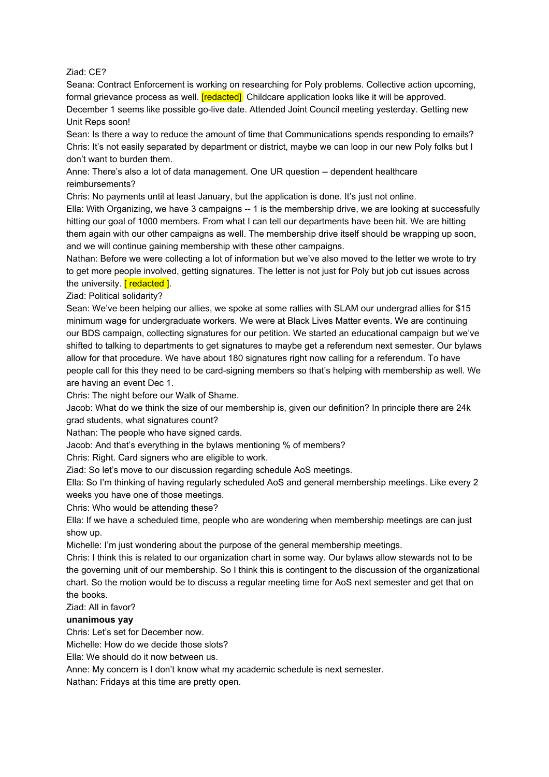Ziad: CE?

Seana: Contract Enforcement is working on researching for Poly problems. Collective action upcoming, formal grievance process as well. **[redacted]** Childcare application looks like it will be approved. December 1 seems like possible go-live date. Attended Joint Council meeting yesterday. Getting new Unit Reps soon!

Sean: Is there a way to reduce the amount of time that Communications spends responding to emails? Chris: It's not easily separated by department or district, maybe we can loop in our new Poly folks but I don't want to burden them.

Anne: There's also a lot of data management. One UR question -- dependent healthcare reimbursements?

Chris: No payments until at least January, but the application is done. It's just not online.

Ella: With Organizing, we have 3 campaigns -- 1 is the membership drive, we are looking at successfully hitting our goal of 1000 members. From what I can tell our departments have been hit. We are hitting them again with our other campaigns as well. The membership drive itself should be wrapping up soon, and we will continue gaining membership with these other campaigns.

Nathan: Before we were collecting a lot of information but we've also moved to the letter we wrote to try to get more people involved, getting signatures. The letter is not just for Poly but job cut issues across the university.  $[$  redacted  $]$ .

Ziad: Political solidarity?

Sean: We've been helping our allies, we spoke at some rallies with SLAM our undergrad allies for \$15 minimum wage for undergraduate workers. We were at Black Lives Matter events. We are continuing our BDS campaign, collecting signatures for our petition. We started an educational campaign but we've shifted to talking to departments to get signatures to maybe get a referendum next semester. Our bylaws allow for that procedure. We have about 180 signatures right now calling for a referendum. To have people call for this they need to be card-signing members so that's helping with membership as well. We are having an event Dec 1.

Chris: The night before our Walk of Shame.

Jacob: What do we think the size of our membership is, given our definition? In principle there are 24k grad students, what signatures count?

Nathan: The people who have signed cards.

Jacob: And that's everything in the bylaws mentioning % of members?

Chris: Right. Card signers who are eligible to work.

Ziad: So let's move to our discussion regarding schedule AoS meetings.

Ella: So I'm thinking of having regularly scheduled AoS and general membership meetings. Like every 2 weeks you have one of those meetings.

Chris: Who would be attending these?

Ella: If we have a scheduled time, people who are wondering when membership meetings are can just show up.

Michelle: I'm just wondering about the purpose of the general membership meetings.

Chris: I think this is related to our organization chart in some way. Our bylaws allow stewards not to be the governing unit of our membership. So I think this is contingent to the discussion of the organizational chart. So the motion would be to discuss a regular meeting time for AoS next semester and get that on the books.

Ziad: All in favor?

### **unanimous yay**

Chris: Let's set for December now.

Michelle: How do we decide those slots?

Ella: We should do it now between us.

Anne: My concern is I don't know what my academic schedule is next semester.

Nathan: Fridays at this time are pretty open.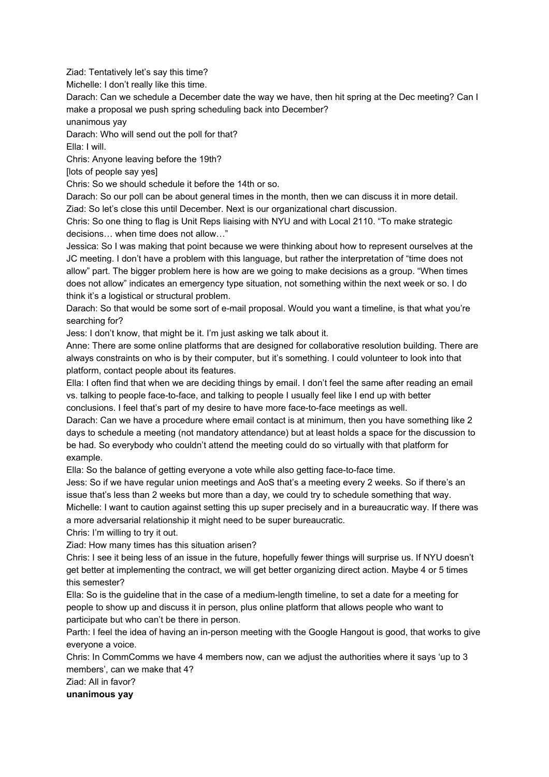Ziad: Tentatively let's say this time?

Michelle: I don't really like this time.

Darach: Can we schedule a December date the way we have, then hit spring at the Dec meeting? Can I make a proposal we push spring scheduling back into December?

unanimous yay

Darach: Who will send out the poll for that?

Ella: I will.

Chris: Anyone leaving before the 19th?

[lots of people say yes]

Chris: So we should schedule it before the 14th or so.

Darach: So our poll can be about general times in the month, then we can discuss it in more detail. Ziad: So let's close this until December. Next is our organizational chart discussion.

Chris: So one thing to flag is Unit Reps liaising with NYU and with Local 2110. "To make strategic decisions… when time does not allow…"

Jessica: So I was making that point because we were thinking about how to represent ourselves at the JC meeting. I don't have a problem with this language, but rather the interpretation of "time does not allow" part. The bigger problem here is how are we going to make decisions as a group. "When times does not allow" indicates an emergency type situation, not something within the next week or so. I do think it's a logistical or structural problem.

Darach: So that would be some sort of e-mail proposal. Would you want a timeline, is that what you're searching for?

Jess: I don't know, that might be it. I'm just asking we talk about it.

Anne: There are some online platforms that are designed for collaborative resolution building. There are always constraints on who is by their computer, but it's something. I could volunteer to look into that platform, contact people about its features.

Ella: I often find that when we are deciding things by email. I don't feel the same after reading an email vs. talking to people face-to-face, and talking to people I usually feel like I end up with better conclusions. I feel that's part of my desire to have more face-to-face meetings as well.

Darach: Can we have a procedure where email contact is at minimum, then you have something like 2 days to schedule a meeting (not mandatory attendance) but at least holds a space for the discussion to be had. So everybody who couldn't attend the meeting could do so virtually with that platform for example.

Ella: So the balance of getting everyone a vote while also getting face-to-face time.

Jess: So if we have regular union meetings and AoS that's a meeting every 2 weeks. So if there's an issue that's less than 2 weeks but more than a day, we could try to schedule something that way. Michelle: I want to caution against setting this up super precisely and in a bureaucratic way. If there was

a more adversarial relationship it might need to be super bureaucratic.

Chris: I'm willing to try it out.

Ziad: How many times has this situation arisen?

Chris: I see it being less of an issue in the future, hopefully fewer things will surprise us. If NYU doesn't get better at implementing the contract, we will get better organizing direct action. Maybe 4 or 5 times this semester?

Ella: So is the quideline that in the case of a medium-length timeline, to set a date for a meeting for people to show up and discuss it in person, plus online platform that allows people who want to participate but who can't be there in person.

Parth: I feel the idea of having an in-person meeting with the Google Hangout is good, that works to give everyone a voice.

Chris: In CommComms we have 4 members now, can we adjust the authorities where it says 'up to 3 members', can we make that 4?

Ziad: All in favor?

**unanimous yay**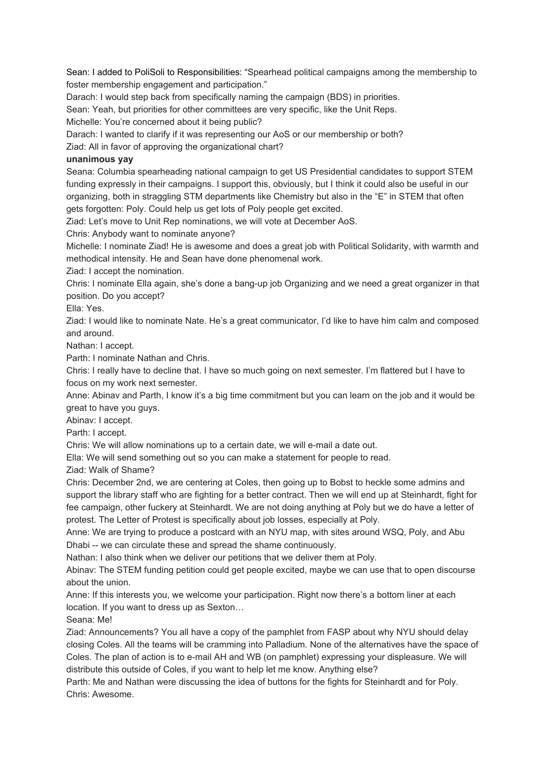Sean: I added to PoliSoli to Responsibilities: "Spearhead political campaigns among the membership to foster membership engagement and participation."

Darach: I would step back from specifically naming the campaign (BDS) in priorities.

Sean: Yeah, but priorities for other committees are very specific, like the Unit Reps.

Michelle: You're concerned about it being public?

Darach: I wanted to clarify if it was representing our AoS or our membership or both?

Ziad: All in favor of approving the organizational chart?

## **unanimous yay**

Seana: Columbia spearheading national campaign to get US Presidential candidates to support STEM funding expressly in their campaigns. I support this, obviously, but I think it could also be useful in our organizing, both in straggling STM departments like Chemistry but also in the "E" in STEM that often gets forgotten: Poly. Could help us get lots of Poly people get excited.

Ziad: Let's move to Unit Rep nominations, we will vote at December AoS.

Chris: Anybody want to nominate anyone?

Michelle: I nominate Ziad! He is awesome and does a great job with Political Solidarity, with warmth and methodical intensity. He and Sean have done phenomenal work.

Ziad: I accept the nomination.

Chris: I nominate Ella again, she's done a bang-up job Organizing and we need a great organizer in that position. Do you accept?

Ella: Yes.

Ziad: I would like to nominate Nate. He's a great communicator, I'd like to have him calm and composed and around.

Nathan: I accept.

Parth: I nominate Nathan and Chris.

Chris: I really have to decline that. I have so much going on next semester. I'm flattered but I have to focus on my work next semester.

Anne: Abinav and Parth, I know it's a big time commitment but you can learn on the job and it would be great to have you guys.

Abinav: I accept.

Parth: I accept.

Chris: We will allow nominations up to a certain date, we will e-mail a date out.

Ella: We will send something out so you can make a statement for people to read.

Ziad: Walk of Shame?

Chris: December 2nd, we are centering at Coles, then going up to Bobst to heckle some admins and support the library staff who are fighting for a better contract. Then we will end up at Steinhardt, fight for fee campaign, other fuckery at Steinhardt. We are not doing anything at Poly but we do have a letter of protest. The Letter of Protest is specifically about job losses, especially at Poly.

Anne: We are trying to produce a postcard with an NYU map, with sites around WSQ, Poly, and Abu Dhabi -- we can circulate these and spread the shame continuously.

Nathan: I also think when we deliver our petitions that we deliver them at Poly.

Abinav: The STEM funding petition could get people excited, maybe we can use that to open discourse about the union.

Anne: If this interests you, we welcome your participation. Right now there's a bottom liner at each location. If you want to dress up as Sexton…

Seana: Me!

Ziad: Announcements? You all have a copy of the pamphlet from FASP about why NYU should delay closing Coles. All the teams will be cramming into Palladium. None of the alternatives have the space of Coles. The plan of action is to e-mail AH and WB (on pamphlet) expressing your displeasure. We will distribute this outside of Coles, if you want to help let me know. Anything else?

Parth: Me and Nathan were discussing the idea of buttons for the fights for Steinhardt and for Poly. Chris: Awesome.